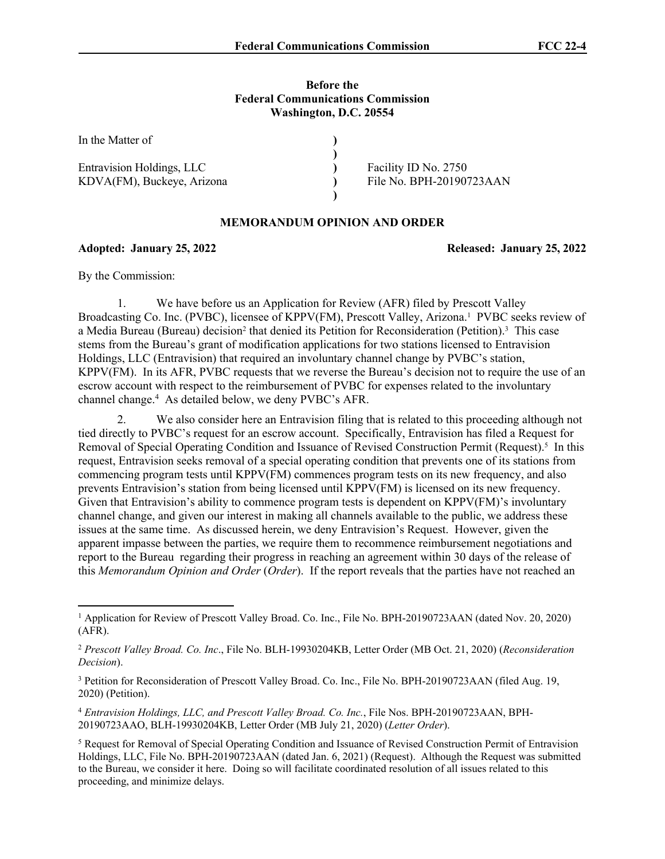#### **Before the Federal Communications Commission Washington, D.C. 20554**

| In the Matter of           |                          |
|----------------------------|--------------------------|
|                            |                          |
| Entravision Holdings, LLC  | Facility ID No. 2750     |
| KDVA(FM), Buckeye, Arizona | File No. BPH-20190723AAN |
|                            |                          |

#### **MEMORANDUM OPINION AND ORDER**

**Adopted: January 25, 2022 Released: January 25, 2022**

By the Commission:

1. We have before us an Application for Review (AFR) filed by Prescott Valley Broadcasting Co. Inc. (PVBC), licensee of KPPV(FM), Prescott Valley, Arizona.<sup>1</sup> PVBC seeks review of a Media Bureau (Bureau) decision<sup>2</sup> that denied its Petition for Reconsideration (Petition).<sup>3</sup> This case stems from the Bureau's grant of modification applications for two stations licensed to Entravision Holdings, LLC (Entravision) that required an involuntary channel change by PVBC's station, KPPV(FM). In its AFR, PVBC requests that we reverse the Bureau's decision not to require the use of an escrow account with respect to the reimbursement of PVBC for expenses related to the involuntary channel change.<sup>4</sup> As detailed below, we deny PVBC's AFR.

2. We also consider here an Entravision filing that is related to this proceeding although not tied directly to PVBC's request for an escrow account. Specifically, Entravision has filed a Request for Removal of Special Operating Condition and Issuance of Revised Construction Permit (Request).<sup>5</sup> In this request, Entravision seeks removal of a special operating condition that prevents one of its stations from commencing program tests until KPPV(FM) commences program tests on its new frequency, and also prevents Entravision's station from being licensed until KPPV(FM) is licensed on its new frequency. Given that Entravision's ability to commence program tests is dependent on KPPV(FM)'s involuntary channel change, and given our interest in making all channels available to the public, we address these issues at the same time. As discussed herein, we deny Entravision's Request. However, given the apparent impasse between the parties, we require them to recommence reimbursement negotiations and report to the Bureau regarding their progress in reaching an agreement within 30 days of the release of this *Memorandum Opinion and Order* (*Order*). If the report reveals that the parties have not reached an

<sup>4</sup> *Entravision Holdings, LLC, and Prescott Valley Broad. Co. Inc.*, File Nos. BPH-20190723AAN, BPH-20190723AAO, BLH-19930204KB, Letter Order (MB July 21, 2020) (*Letter Order*).

<sup>&</sup>lt;sup>1</sup> Application for Review of Prescott Valley Broad. Co. Inc., File No. BPH-20190723AAN (dated Nov. 20, 2020) (AFR).

<sup>2</sup> *Prescott Valley Broad. Co. Inc*., File No. BLH-19930204KB, Letter Order (MB Oct. 21, 2020) (*Reconsideration Decision*).

<sup>&</sup>lt;sup>3</sup> Petition for Reconsideration of Prescott Valley Broad. Co. Inc., File No. BPH-20190723AAN (filed Aug. 19, 2020) (Petition).

<sup>&</sup>lt;sup>5</sup> Request for Removal of Special Operating Condition and Issuance of Revised Construction Permit of Entravision Holdings, LLC, File No. BPH-20190723AAN (dated Jan. 6, 2021) (Request). Although the Request was submitted to the Bureau, we consider it here. Doing so will facilitate coordinated resolution of all issues related to this proceeding, and minimize delays.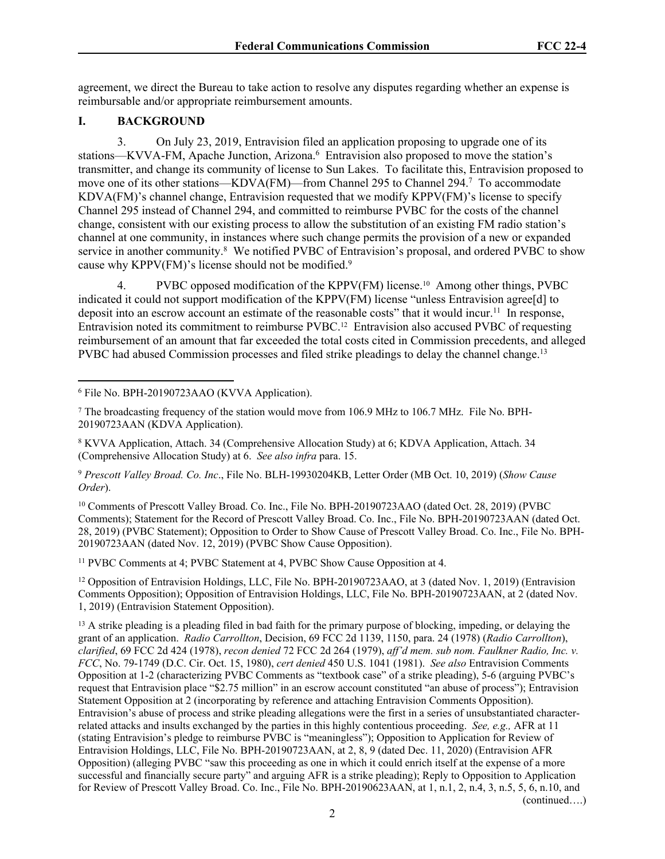agreement, we direct the Bureau to take action to resolve any disputes regarding whether an expense is reimbursable and/or appropriate reimbursement amounts.

#### **I. BACKGROUND**

3. On July 23, 2019, Entravision filed an application proposing to upgrade one of its stations—KVVA-FM, Apache Junction, Arizona.<sup>6</sup> Entravision also proposed to move the station's transmitter, and change its community of license to Sun Lakes. To facilitate this, Entravision proposed to move one of its other stations—KDVA(FM)—from Channel 295 to Channel 294.<sup>7</sup> To accommodate KDVA(FM)'s channel change, Entravision requested that we modify KPPV(FM)'s license to specify Channel 295 instead of Channel 294, and committed to reimburse PVBC for the costs of the channel change, consistent with our existing process to allow the substitution of an existing FM radio station's channel at one community, in instances where such change permits the provision of a new or expanded service in another community.<sup>8</sup> We notified PVBC of Entravision's proposal, and ordered PVBC to show cause why KPPV(FM)'s license should not be modified.<sup>9</sup>

4. PVBC opposed modification of the KPPV(FM) license.10 Among other things, PVBC indicated it could not support modification of the KPPV(FM) license "unless Entravision agree[d] to deposit into an escrow account an estimate of the reasonable costs" that it would incur.<sup>11</sup> In response, Entravision noted its commitment to reimburse PVBC.12 Entravision also accused PVBC of requesting reimbursement of an amount that far exceeded the total costs cited in Commission precedents, and alleged PVBC had abused Commission processes and filed strike pleadings to delay the channel change.<sup>13</sup>

<sup>10</sup> Comments of Prescott Valley Broad. Co. Inc., File No. BPH-20190723AAO (dated Oct. 28, 2019) (PVBC Comments); Statement for the Record of Prescott Valley Broad. Co. Inc., File No. BPH-20190723AAN (dated Oct. 28, 2019) (PVBC Statement); Opposition to Order to Show Cause of Prescott Valley Broad. Co. Inc., File No. BPH-20190723AAN (dated Nov. 12, 2019) (PVBC Show Cause Opposition).

<sup>11</sup> PVBC Comments at 4; PVBC Statement at 4, PVBC Show Cause Opposition at 4.

<sup>12</sup> Opposition of Entravision Holdings, LLC, File No. BPH-20190723AAO, at 3 (dated Nov. 1, 2019) (Entravision Comments Opposition); Opposition of Entravision Holdings, LLC, File No. BPH-20190723AAN, at 2 (dated Nov. 1, 2019) (Entravision Statement Opposition).

2

<sup>6</sup> File No. BPH-20190723AAO (KVVA Application).

<sup>7</sup> The broadcasting frequency of the station would move from 106.9 MHz to 106.7 MHz. File No. BPH-20190723AAN (KDVA Application).

<sup>8</sup> KVVA Application, Attach. 34 (Comprehensive Allocation Study) at 6; KDVA Application, Attach. 34 (Comprehensive Allocation Study) at 6. *See also infra* para. 15.

<sup>9</sup> *Prescott Valley Broad. Co. Inc*., File No. BLH-19930204KB, Letter Order (MB Oct. 10, 2019) (*Show Cause Order*).

<sup>&</sup>lt;sup>13</sup> A strike pleading is a pleading filed in bad faith for the primary purpose of blocking, impeding, or delaying the grant of an application. *Radio Carrollton*, Decision, 69 FCC 2d 1139, 1150, para. 24 (1978) (*Radio Carrollton*), *clarified*, 69 FCC 2d 424 (1978), *recon denied* 72 FCC 2d 264 (1979), *aff'd mem. sub nom. Faulkner Radio, Inc. v. FCC*, No. 79-1749 (D.C. Cir. Oct. 15, 1980), *cert denied* 450 U.S. 1041 (1981). *See also* Entravision Comments Opposition at 1-2 (characterizing PVBC Comments as "textbook case" of a strike pleading), 5-6 (arguing PVBC's request that Entravision place "\$2.75 million" in an escrow account constituted "an abuse of process"); Entravision Statement Opposition at 2 (incorporating by reference and attaching Entravision Comments Opposition). Entravision's abuse of process and strike pleading allegations were the first in a series of unsubstantiated characterrelated attacks and insults exchanged by the parties in this highly contentious proceeding. *See, e.g.,* AFR at 11 (stating Entravision's pledge to reimburse PVBC is "meaningless"); Opposition to Application for Review of Entravision Holdings, LLC, File No. BPH-20190723AAN, at 2, 8, 9 (dated Dec. 11, 2020) (Entravision AFR Opposition) (alleging PVBC "saw this proceeding as one in which it could enrich itself at the expense of a more successful and financially secure party" and arguing AFR is a strike pleading); Reply to Opposition to Application for Review of Prescott Valley Broad. Co. Inc., File No. BPH-20190623AAN, at 1, n.1, 2, n.4, 3, n.5, 5, 6, n.10, and (continued….)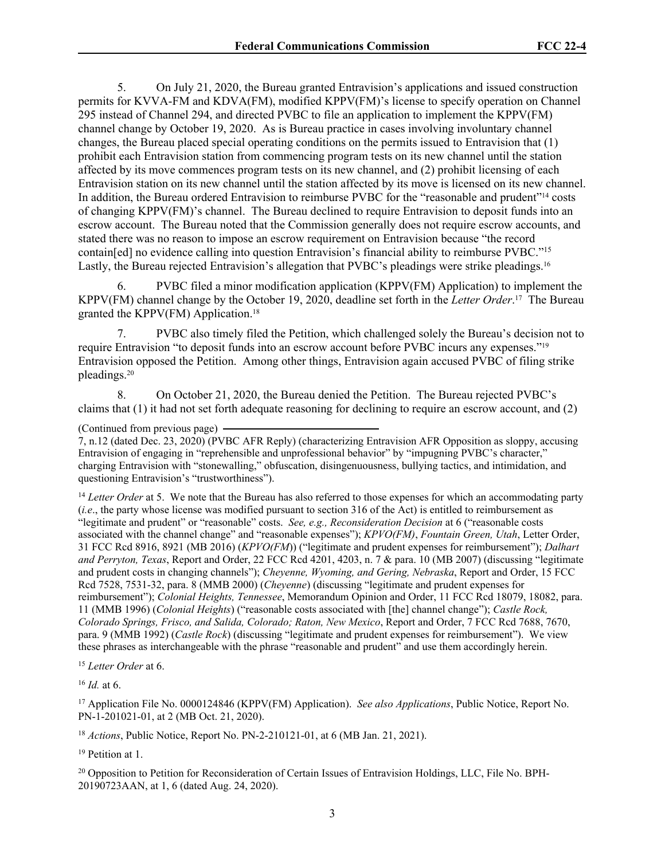5. On July 21, 2020, the Bureau granted Entravision's applications and issued construction permits for KVVA-FM and KDVA(FM), modified KPPV(FM)'s license to specify operation on Channel 295 instead of Channel 294, and directed PVBC to file an application to implement the KPPV(FM) channel change by October 19, 2020. As is Bureau practice in cases involving involuntary channel changes, the Bureau placed special operating conditions on the permits issued to Entravision that (1) prohibit each Entravision station from commencing program tests on its new channel until the station affected by its move commences program tests on its new channel, and (2) prohibit licensing of each Entravision station on its new channel until the station affected by its move is licensed on its new channel. In addition, the Bureau ordered Entravision to reimburse PVBC for the "reasonable and prudent"<sup>14</sup> costs of changing KPPV(FM)'s channel. The Bureau declined to require Entravision to deposit funds into an escrow account. The Bureau noted that the Commission generally does not require escrow accounts, and stated there was no reason to impose an escrow requirement on Entravision because "the record contain[ed] no evidence calling into question Entravision's financial ability to reimburse PVBC."<sup>15</sup> Lastly, the Bureau rejected Entravision's allegation that PVBC's pleadings were strike pleadings.<sup>16</sup>

6. PVBC filed a minor modification application (KPPV(FM) Application) to implement the KPPV(FM) channel change by the October 19, 2020, deadline set forth in the *Letter Order*. <sup>17</sup> The Bureau granted the KPPV(FM) Application.<sup>18</sup>

7. PVBC also timely filed the Petition, which challenged solely the Bureau's decision not to require Entravision "to deposit funds into an escrow account before PVBC incurs any expenses."<sup>19</sup> Entravision opposed the Petition. Among other things, Entravision again accused PVBC of filing strike pleadings.<sup>20</sup>

8. On October 21, 2020, the Bureau denied the Petition. The Bureau rejected PVBC's claims that  $(1)$  it had not set forth adequate reasoning for declining to require an escrow account, and  $(2)$ 

(Continued from previous page)

7, n.12 (dated Dec. 23, 2020) (PVBC AFR Reply) (characterizing Entravision AFR Opposition as sloppy, accusing Entravision of engaging in "reprehensible and unprofessional behavior" by "impugning PVBC's character," charging Entravision with "stonewalling," obfuscation, disingenuousness, bullying tactics, and intimidation, and questioning Entravision's "trustworthiness").

<sup>14</sup> *Letter Order* at 5. We note that the Bureau has also referred to those expenses for which an accommodating party (*i.e*., the party whose license was modified pursuant to section 316 of the Act) is entitled to reimbursement as "legitimate and prudent" or "reasonable" costs. *See, e.g., Reconsideration Decision* at 6 ("reasonable costs associated with the channel change" and "reasonable expenses"); *KPVO(FM)*, *Fountain Green, Utah*, Letter Order, 31 FCC Rcd 8916, 8921 (MB 2016) (*KPVO(FM*)) ("legitimate and prudent expenses for reimbursement"); *Dalhart and Perryton, Texas*, Report and Order, 22 FCC Rcd 4201, 4203, n. 7 & para. 10 (MB 2007) (discussing "legitimate and prudent costs in changing channels"); *Cheyenne, Wyoming, and Gering, Nebraska*, Report and Order, 15 FCC Rcd 7528, 7531-32, para. 8 (MMB 2000) (*Cheyenne*) (discussing "legitimate and prudent expenses for reimbursement"); *Colonial Heights, Tennessee*, Memorandum Opinion and Order, 11 FCC Rcd 18079, 18082, para. 11 (MMB 1996) (*Colonial Heights*) ("reasonable costs associated with [the] channel change"); *Castle Rock, Colorado Springs, Frisco, and Salida, Colorado; Raton, New Mexico*, Report and Order, 7 FCC Rcd 7688, 7670, para. 9 (MMB 1992) (*Castle Rock*) (discussing "legitimate and prudent expenses for reimbursement"). We view these phrases as interchangeable with the phrase "reasonable and prudent" and use them accordingly herein.

<sup>15</sup> *Letter Order* at 6.

<sup>16</sup> *Id.* at 6.

<sup>17</sup> Application File No. 0000124846 (KPPV(FM) Application). *See also Applications*, Public Notice, Report No. PN-1-201021-01, at 2 (MB Oct. 21, 2020).

<sup>18</sup> *Actions*, Public Notice, Report No. PN-2-210121-01, at 6 (MB Jan. 21, 2021).

<sup>19</sup> Petition at 1.

20 Opposition to Petition for Reconsideration of Certain Issues of Entravision Holdings, LLC, File No. BPH-20190723AAN, at 1, 6 (dated Aug. 24, 2020).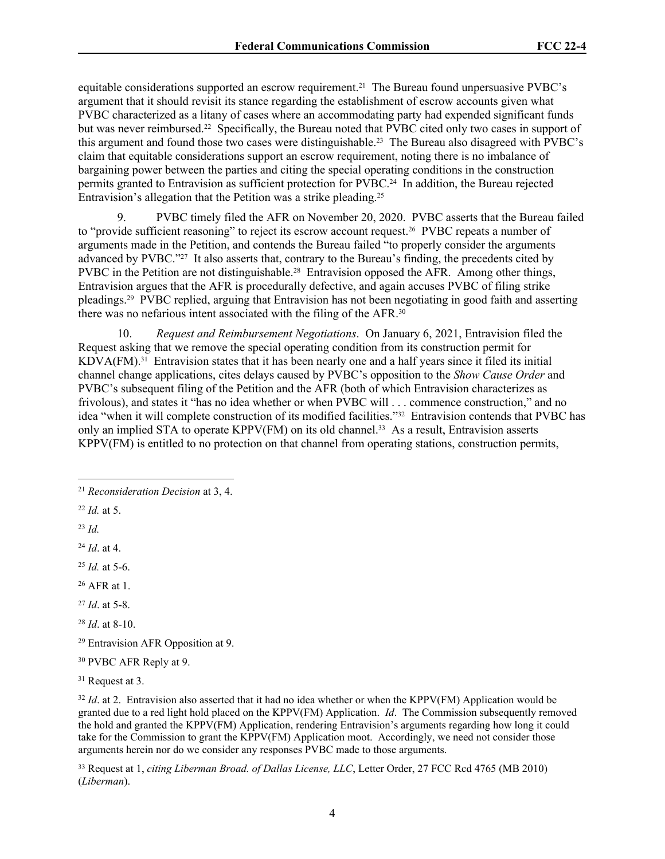equitable considerations supported an escrow requirement.21 The Bureau found unpersuasive PVBC's argument that it should revisit its stance regarding the establishment of escrow accounts given what PVBC characterized as a litany of cases where an accommodating party had expended significant funds but was never reimbursed.22 Specifically, the Bureau noted that PVBC cited only two cases in support of this argument and found those two cases were distinguishable.23 The Bureau also disagreed with PVBC's claim that equitable considerations support an escrow requirement, noting there is no imbalance of bargaining power between the parties and citing the special operating conditions in the construction permits granted to Entravision as sufficient protection for PVBC.24 In addition, the Bureau rejected Entravision's allegation that the Petition was a strike pleading.<sup>25</sup>

9. PVBC timely filed the AFR on November 20, 2020. PVBC asserts that the Bureau failed to "provide sufficient reasoning" to reject its escrow account request.26 PVBC repeats a number of arguments made in the Petition, and contends the Bureau failed "to properly consider the arguments advanced by PVBC."27 It also asserts that, contrary to the Bureau's finding, the precedents cited by PVBC in the Petition are not distinguishable.28 Entravision opposed the AFR. Among other things, Entravision argues that the AFR is procedurally defective, and again accuses PVBC of filing strike pleadings.29 PVBC replied, arguing that Entravision has not been negotiating in good faith and asserting there was no nefarious intent associated with the filing of the AFR.<sup>30</sup>

10. *Request and Reimbursement Negotiations*. On January 6, 2021, Entravision filed the Request asking that we remove the special operating condition from its construction permit for KDVA(FM).31 Entravision states that it has been nearly one and a half years since it filed its initial channel change applications, cites delays caused by PVBC's opposition to the *Show Cause Order* and PVBC's subsequent filing of the Petition and the AFR (both of which Entravision characterizes as frivolous), and states it "has no idea whether or when PVBC will . . . commence construction," and no idea "when it will complete construction of its modified facilities."32 Entravision contends that PVBC has only an implied STA to operate KPPV(FM) on its old channel.<sup>33</sup> As a result, Entravision asserts KPPV(FM) is entitled to no protection on that channel from operating stations, construction permits,

<sup>31</sup> Request at 3.

<sup>32</sup> *Id.* at 2. Entravision also asserted that it had no idea whether or when the KPPV(FM) Application would be granted due to a red light hold placed on the KPPV(FM) Application. *Id*. The Commission subsequently removed the hold and granted the KPPV(FM) Application, rendering Entravision's arguments regarding how long it could take for the Commission to grant the KPPV(FM) Application moot. Accordingly, we need not consider those arguments herein nor do we consider any responses PVBC made to those arguments.

<sup>33</sup> Request at 1, *citing Liberman Broad. of Dallas License, LLC*, Letter Order, 27 FCC Rcd 4765 (MB 2010) (*Liberman*).

<sup>21</sup> *Reconsideration Decision* at 3, 4.

<sup>22</sup> *Id.* at 5.

<sup>23</sup> *Id.*

<sup>24</sup> *Id*. at 4.

<sup>25</sup> *Id.* at 5-6.

<sup>26</sup> AFR at 1.

<sup>27</sup> *Id*. at 5-8.

<sup>28</sup> *Id*. at 8-10.

<sup>29</sup> Entravision AFR Opposition at 9.

<sup>30</sup> PVBC AFR Reply at 9.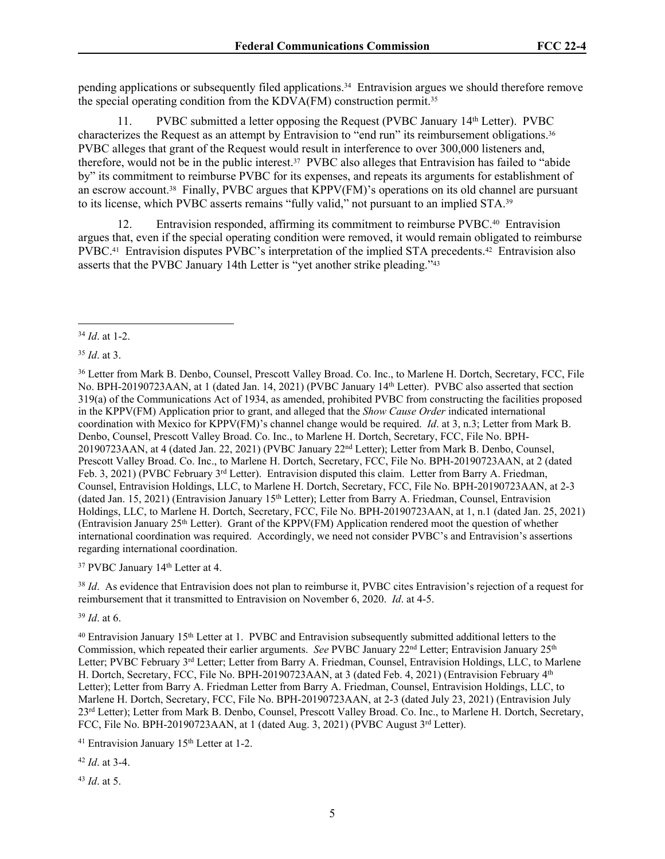pending applications or subsequently filed applications.34 Entravision argues we should therefore remove the special operating condition from the KDVA(FM) construction permit.<sup>35</sup>

11. PVBC submitted a letter opposing the Request (PVBC January 14th Letter). PVBC characterizes the Request as an attempt by Entravision to "end run" its reimbursement obligations.<sup>36</sup> PVBC alleges that grant of the Request would result in interference to over 300,000 listeners and, therefore, would not be in the public interest.37 PVBC also alleges that Entravision has failed to "abide by" its commitment to reimburse PVBC for its expenses, and repeats its arguments for establishment of an escrow account.38 Finally, PVBC argues that KPPV(FM)'s operations on its old channel are pursuant to its license, which PVBC asserts remains "fully valid," not pursuant to an implied STA.<sup>39</sup>

12. Entravision responded, affirming its commitment to reimburse PVBC.40 Entravision argues that, even if the special operating condition were removed, it would remain obligated to reimburse PVBC.<sup>41</sup> Entravision disputes PVBC's interpretation of the implied STA precedents.<sup>42</sup> Entravision also asserts that the PVBC January 14th Letter is "yet another strike pleading."<sup>43</sup>

<sup>35</sup> *Id*. at 3.

<sup>36</sup> Letter from Mark B. Denbo, Counsel, Prescott Valley Broad. Co. Inc., to Marlene H. Dortch, Secretary, FCC, File No. BPH-20190723AAN, at 1 (dated Jan. 14, 2021) (PVBC January 14th Letter). PVBC also asserted that section 319(a) of the Communications Act of 1934, as amended, prohibited PVBC from constructing the facilities proposed in the KPPV(FM) Application prior to grant, and alleged that the *Show Cause Order* indicated international coordination with Mexico for KPPV(FM)'s channel change would be required. *Id*. at 3, n.3; Letter from Mark B. Denbo, Counsel, Prescott Valley Broad. Co. Inc., to Marlene H. Dortch, Secretary, FCC, File No. BPH-20190723AAN, at 4 (dated Jan. 22, 2021) (PVBC January 22nd Letter); Letter from Mark B. Denbo, Counsel, Prescott Valley Broad. Co. Inc., to Marlene H. Dortch, Secretary, FCC, File No. BPH-20190723AAN, at 2 (dated Feb. 3, 2021) (PVBC February 3<sup>rd</sup> Letter). Entravision disputed this claim. Letter from Barry A. Friedman, Counsel, Entravision Holdings, LLC, to Marlene H. Dortch, Secretary, FCC, File No. BPH-20190723AAN, at 2-3 (dated Jan. 15, 2021) (Entravision January 15th Letter); Letter from Barry A. Friedman, Counsel, Entravision Holdings, LLC, to Marlene H. Dortch, Secretary, FCC, File No. BPH-20190723AAN, at 1, n.1 (dated Jan. 25, 2021) (Entravision January 25<sup>th</sup> Letter). Grant of the KPPV(FM) Application rendered moot the question of whether international coordination was required. Accordingly, we need not consider PVBC's and Entravision's assertions regarding international coordination.

<sup>37</sup> PVBC January 14<sup>th</sup> Letter at 4.

<sup>38</sup> *Id*. As evidence that Entravision does not plan to reimburse it, PVBC cites Entravision's rejection of a request for reimbursement that it transmitted to Entravision on November 6, 2020. *Id*. at 4-5.

<sup>39</sup> *Id*. at 6.

<sup>40</sup> Entravision January 15th Letter at 1. PVBC and Entravision subsequently submitted additional letters to the Commission, which repeated their earlier arguments. *See* PVBC January 22<sup>nd</sup> Letter; Entravision January 25<sup>th</sup> Letter; PVBC February 3<sup>rd</sup> Letter; Letter from Barry A. Friedman, Counsel, Entravision Holdings, LLC, to Marlene H. Dortch, Secretary, FCC, File No. BPH-20190723AAN, at 3 (dated Feb. 4, 2021) (Entravision February 4<sup>th</sup> Letter); Letter from Barry A. Friedman Letter from Barry A. Friedman, Counsel, Entravision Holdings, LLC, to Marlene H. Dortch, Secretary, FCC, File No. BPH-20190723AAN, at 2-3 (dated July 23, 2021) (Entravision July 23<sup>rd</sup> Letter); Letter from Mark B. Denbo, Counsel, Prescott Valley Broad. Co. Inc., to Marlene H. Dortch, Secretary, FCC, File No. BPH-20190723AAN, at 1 (dated Aug. 3, 2021) (PVBC August 3rd Letter).

<sup>41</sup> Entravision January 15<sup>th</sup> Letter at 1-2.

<sup>42</sup> *Id*. at 3-4.

<sup>43</sup> *Id*. at 5.

<sup>34</sup> *Id*. at 1-2.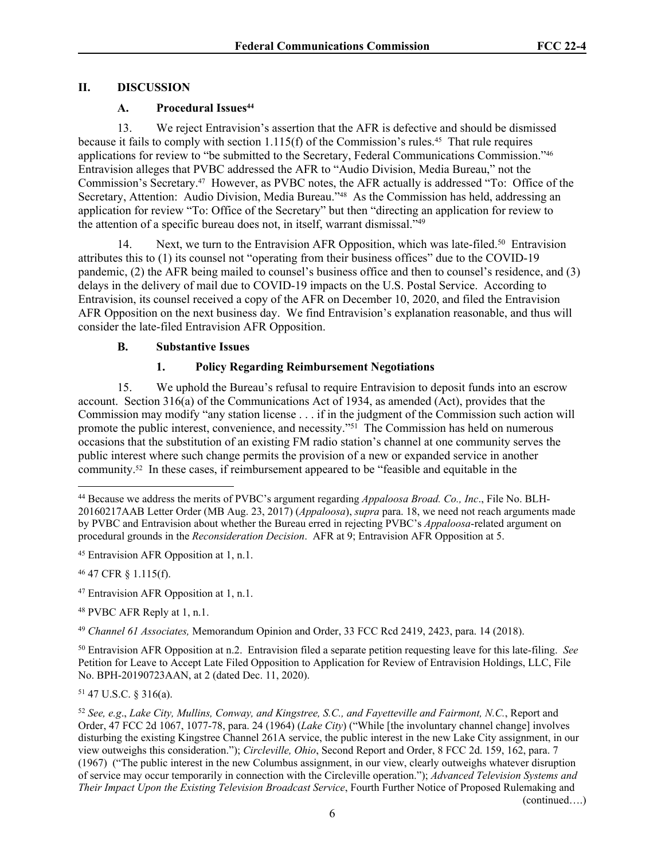# **II. DISCUSSION**

# **A. Procedural Issues<sup>44</sup>**

13. We reject Entravision's assertion that the AFR is defective and should be dismissed because it fails to comply with section  $1.115(f)$  of the Commission's rules.<sup>45</sup> That rule requires applications for review to "be submitted to the Secretary, Federal Communications Commission."<sup>46</sup> Entravision alleges that PVBC addressed the AFR to "Audio Division, Media Bureau," not the Commission's Secretary.47 However, as PVBC notes, the AFR actually is addressed "To: Office of the Secretary, Attention: Audio Division, Media Bureau."48 As the Commission has held, addressing an application for review "To: Office of the Secretary" but then "directing an application for review to the attention of a specific bureau does not, in itself, warrant dismissal."<sup>49</sup>

14. Next, we turn to the Entravision AFR Opposition, which was late-filed.<sup>50</sup> Entravision attributes this to (1) its counsel not "operating from their business offices" due to the COVID-19 pandemic, (2) the AFR being mailed to counsel's business office and then to counsel's residence, and (3) delays in the delivery of mail due to COVID-19 impacts on the U.S. Postal Service. According to Entravision, its counsel received a copy of the AFR on December 10, 2020, and filed the Entravision AFR Opposition on the next business day. We find Entravision's explanation reasonable, and thus will consider the late-filed Entravision AFR Opposition.

# **B. Substantive Issues**

# **1. Policy Regarding Reimbursement Negotiations**

15. We uphold the Bureau's refusal to require Entravision to deposit funds into an escrow account. Section 316(a) of the Communications Act of 1934, as amended (Act), provides that the Commission may modify "any station license . . . if in the judgment of the Commission such action will promote the public interest, convenience, and necessity."<sup>51</sup> The Commission has held on numerous occasions that the substitution of an existing FM radio station's channel at one community serves the public interest where such change permits the provision of a new or expanded service in another community.52 In these cases, if reimbursement appeared to be "feasible and equitable in the

<sup>46</sup> 47 CFR § 1.115(f).

<sup>48</sup> PVBC AFR Reply at 1, n.1.

<sup>49</sup> *Channel 61 Associates,* Memorandum Opinion and Order, 33 FCC Rcd 2419, 2423, para. 14 (2018).

<sup>50</sup> Entravision AFR Opposition at n.2. Entravision filed a separate petition requesting leave for this late-filing. *See* Petition for Leave to Accept Late Filed Opposition to Application for Review of Entravision Holdings, LLC, File No. BPH-20190723AAN, at 2 (dated Dec. 11, 2020).

<sup>51</sup> 47 U.S.C. § 316(a).

(continued….)

<sup>44</sup> Because we address the merits of PVBC's argument regarding *Appaloosa Broad. Co., Inc*., File No. BLH-20160217AAB Letter Order (MB Aug. 23, 2017) (*Appaloosa*), *supra* para. 18, we need not reach arguments made by PVBC and Entravision about whether the Bureau erred in rejecting PVBC's *Appaloosa*-related argument on procedural grounds in the *Reconsideration Decision*. AFR at 9; Entravision AFR Opposition at 5.

<sup>45</sup> Entravision AFR Opposition at 1, n.1.

<sup>47</sup> Entravision AFR Opposition at 1, n.1.

<sup>52</sup> *See, e.g*., *Lake City, Mullins, Conway, and Kingstree, S.C., and Fayetteville and Fairmont, N.C.*, Report and Order, 47 FCC 2d 1067, 1077-78, para. 24 (1964) (*Lake City*) ("While [the involuntary channel change] involves disturbing the existing Kingstree Channel 261A service, the public interest in the new Lake City assignment, in our view outweighs this consideration."); *Circleville, Ohio*, Second Report and Order, 8 FCC 2d. 159, 162, para. 7 (1967) ("The public interest in the new Columbus assignment, in our view, clearly outweighs whatever disruption of service may occur temporarily in connection with the Circleville operation."); *Advanced Television Systems and Their Impact Upon the Existing Television Broadcast Service*, Fourth Further Notice of Proposed Rulemaking and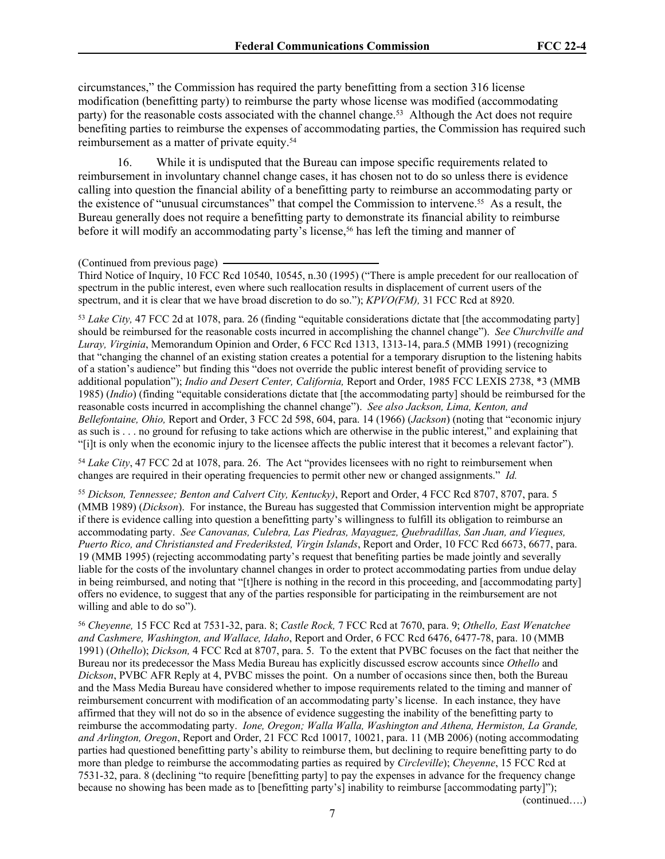circumstances," the Commission has required the party benefitting from a section 316 license modification (benefitting party) to reimburse the party whose license was modified (accommodating party) for the reasonable costs associated with the channel change.<sup>53</sup> Although the Act does not require benefiting parties to reimburse the expenses of accommodating parties, the Commission has required such reimbursement as a matter of private equity.<sup>54</sup>

16. While it is undisputed that the Bureau can impose specific requirements related to reimbursement in involuntary channel change cases, it has chosen not to do so unless there is evidence calling into question the financial ability of a benefitting party to reimburse an accommodating party or the existence of "unusual circumstances" that compel the Commission to intervene.55 As a result, the Bureau generally does not require a benefitting party to demonstrate its financial ability to reimburse before it will modify an accommodating party's license,<sup>56</sup> has left the timing and manner of

Third Notice of Inquiry, 10 FCC Rcd 10540, 10545, n.30 (1995) ("There is ample precedent for our reallocation of spectrum in the public interest, even where such reallocation results in displacement of current users of the spectrum, and it is clear that we have broad discretion to do so."); *KPVO(FM),* 31 FCC Rcd at 8920.

<sup>53</sup> *Lake City,* 47 FCC 2d at 1078, para. 26 (finding "equitable considerations dictate that [the accommodating party] should be reimbursed for the reasonable costs incurred in accomplishing the channel change"). *See Churchville and Luray, Virginia*, Memorandum Opinion and Order, 6 FCC Rcd 1313, 1313-14, para.5 (MMB 1991) (recognizing that "changing the channel of an existing station creates a potential for a temporary disruption to the listening habits of a station's audience" but finding this "does not override the public interest benefit of providing service to additional population"); *Indio and Desert Center, California,* Report and Order, 1985 FCC LEXIS 2738, \*3 (MMB 1985) (*Indio*) (finding "equitable considerations dictate that [the accommodating party] should be reimbursed for the reasonable costs incurred in accomplishing the channel change"). *See also Jackson, Lima, Kenton, and Bellefontaine, Ohio,* Report and Order, 3 FCC 2d 598, 604, para. 14 (1966) (*Jackson*) (noting that "economic injury as such is . . . no ground for refusing to take actions which are otherwise in the public interest," and explaining that "[i]t is only when the economic injury to the licensee affects the public interest that it becomes a relevant factor").

<sup>54</sup> Lake City, 47 FCC 2d at 1078, para. 26. The Act "provides licensees with no right to reimbursement when changes are required in their operating frequencies to permit other new or changed assignments." *Id.*

<sup>55</sup> *Dickson, Tennessee; Benton and Calvert City, Kentucky)*, Report and Order, 4 FCC Rcd 8707, 8707, para. 5 (MMB 1989) (*Dickson*). For instance, the Bureau has suggested that Commission intervention might be appropriate if there is evidence calling into question a benefitting party's willingness to fulfill its obligation to reimburse an accommodating party. *See Canovanas, Culebra, Las Piedras, Mayaguez, Quebradillas, San Juan, and Vieques, Puerto Rico, and Christiansted and Frederiksted, Virgin Islands*, Report and Order, 10 FCC Rcd 6673, 6677, para. 19 (MMB 1995) (rejecting accommodating party's request that benefiting parties be made jointly and severally liable for the costs of the involuntary channel changes in order to protect accommodating parties from undue delay in being reimbursed, and noting that "[t]here is nothing in the record in this proceeding, and [accommodating party] offers no evidence, to suggest that any of the parties responsible for participating in the reimbursement are not willing and able to do so").

<sup>56</sup> *Cheyenne,* 15 FCC Rcd at 7531-32, para. 8; *Castle Rock,* 7 FCC Rcd at 7670, para. 9; *Othello, East Wenatchee and Cashmere, Washington, and Wallace, Idaho*, Report and Order, 6 FCC Rcd 6476, 6477-78, para. 10 (MMB 1991) (*Othello*); *Dickson,* 4 FCC Rcd at 8707, para. 5. To the extent that PVBC focuses on the fact that neither the Bureau nor its predecessor the Mass Media Bureau has explicitly discussed escrow accounts since *Othello* and *Dickson*, PVBC AFR Reply at 4, PVBC misses the point. On a number of occasions since then, both the Bureau and the Mass Media Bureau have considered whether to impose requirements related to the timing and manner of reimbursement concurrent with modification of an accommodating party's license. In each instance, they have affirmed that they will not do so in the absence of evidence suggesting the inability of the benefitting party to reimburse the accommodating party. *Ione, Oregon; Walla Walla, Washington and Athena, Hermiston, La Grande, and Arlington, Oregon*, Report and Order, 21 FCC Rcd 10017, 10021, para. 11 (MB 2006) (noting accommodating parties had questioned benefitting party's ability to reimburse them, but declining to require benefitting party to do more than pledge to reimburse the accommodating parties as required by *Circleville*); *Cheyenne*, 15 FCC Rcd at 7531-32, para. 8 (declining "to require [benefitting party] to pay the expenses in advance for the frequency change because no showing has been made as to [benefitting party's] inability to reimburse [accommodating party]");

(continued….)

<sup>(</sup>Continued from previous page)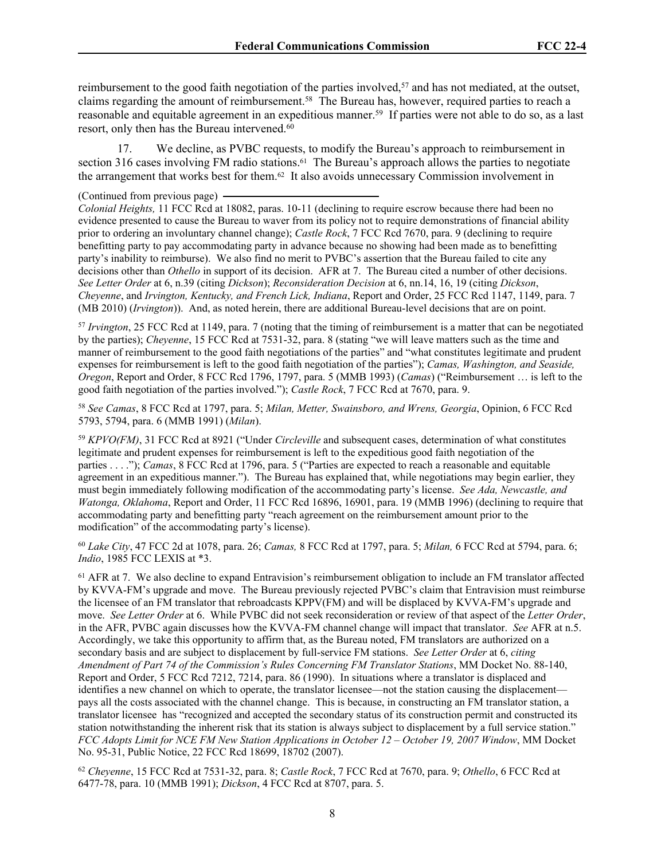reimbursement to the good faith negotiation of the parties involved,<sup>57</sup> and has not mediated, at the outset, claims regarding the amount of reimbursement.<sup>58</sup> The Bureau has, however, required parties to reach a reasonable and equitable agreement in an expeditious manner.<sup>59</sup> If parties were not able to do so, as a last resort, only then has the Bureau intervened.<sup>60</sup>

17. We decline, as PVBC requests, to modify the Bureau's approach to reimbursement in section 316 cases involving FM radio stations.<sup>61</sup> The Bureau's approach allows the parties to negotiate the arrangement that works best for them.62 It also avoids unnecessary Commission involvement in

(Continued from previous page)

*Colonial Heights,* 11 FCC Rcd at 18082, paras. 10-11 (declining to require escrow because there had been no evidence presented to cause the Bureau to waver from its policy not to require demonstrations of financial ability prior to ordering an involuntary channel change); *Castle Rock*, 7 FCC Rcd 7670, para. 9 (declining to require benefitting party to pay accommodating party in advance because no showing had been made as to benefitting party's inability to reimburse). We also find no merit to PVBC's assertion that the Bureau failed to cite any decisions other than *Othello* in support of its decision. AFR at 7. The Bureau cited a number of other decisions. *See Letter Order* at 6, n.39 (citing *Dickson*); *Reconsideration Decision* at 6, nn.14, 16, 19 (citing *Dickson*, *Cheyenne*, and *Irvington, Kentucky, and French Lick, Indiana*, Report and Order, 25 FCC Rcd 1147, 1149, para. 7 (MB 2010) (*Irvington*)). And, as noted herein, there are additional Bureau-level decisions that are on point.

<sup>57</sup> *Irvington*, 25 FCC Rcd at 1149, para. 7 (noting that the timing of reimbursement is a matter that can be negotiated by the parties); *Cheyenne*, 15 FCC Rcd at 7531-32, para. 8 (stating "we will leave matters such as the time and manner of reimbursement to the good faith negotiations of the parties" and "what constitutes legitimate and prudent expenses for reimbursement is left to the good faith negotiation of the parties"); *Camas, Washington, and Seaside, Oregon*, Report and Order, 8 FCC Rcd 1796, 1797, para. 5 (MMB 1993) (*Camas*) ("Reimbursement … is left to the good faith negotiation of the parties involved."); *Castle Rock*, 7 FCC Rcd at 7670, para. 9.

<sup>58</sup> *See Camas*, 8 FCC Rcd at 1797, para. 5; *Milan, Metter, Swainsboro, and Wrens, Georgia*, Opinion, 6 FCC Rcd 5793, 5794, para. 6 (MMB 1991) (*Milan*).

<sup>59</sup> *KPVO(FM)*, 31 FCC Rcd at 8921 ("Under *Circleville* and subsequent cases, determination of what constitutes legitimate and prudent expenses for reimbursement is left to the expeditious good faith negotiation of the parties . . . ."); *Camas*, 8 FCC Rcd at 1796, para. 5 ("Parties are expected to reach a reasonable and equitable agreement in an expeditious manner."). The Bureau has explained that, while negotiations may begin earlier, they must begin immediately following modification of the accommodating party's license. *See Ada, Newcastle, and Watonga, Oklahoma*, Report and Order, 11 FCC Rcd 16896, 16901, para. 19 (MMB 1996) (declining to require that accommodating party and benefitting party "reach agreement on the reimbursement amount prior to the modification" of the accommodating party's license).

<sup>60</sup> *Lake City*, 47 FCC 2d at 1078, para. 26; *Camas,* 8 FCC Rcd at 1797, para. 5; *Milan,* 6 FCC Rcd at 5794, para. 6; *Indio*, 1985 FCC LEXIS at \*3.

<sup>61</sup> AFR at 7. We also decline to expand Entravision's reimbursement obligation to include an FM translator affected by KVVA-FM's upgrade and move. The Bureau previously rejected PVBC's claim that Entravision must reimburse the licensee of an FM translator that rebroadcasts KPPV(FM) and will be displaced by KVVA-FM's upgrade and move. *See Letter Order* at 6. While PVBC did not seek reconsideration or review of that aspect of the *Letter Order*, in the AFR, PVBC again discusses how the KVVA-FM channel change will impact that translator. *See* AFR at n.5. Accordingly, we take this opportunity to affirm that, as the Bureau noted, FM translators are authorized on a secondary basis and are subject to displacement by full-service FM stations. *See Letter Order* at 6, *citing Amendment of Part 74 of the Commission's Rules Concerning FM Translator Stations*, MM Docket No. 88-140, Report and Order, 5 FCC Rcd 7212, 7214, para. 86 (1990). In situations where a translator is displaced and identifies a new channel on which to operate, the translator licensee—not the station causing the displacement pays all the costs associated with the channel change. This is because, in constructing an FM translator station, a translator licensee has "recognized and accepted the secondary status of its construction permit and constructed its station notwithstanding the inherent risk that its station is always subject to displacement by a full service station." *FCC Adopts Limit for NCE FM New Station Applications in October 12 – October 19, 2007 Window*, MM Docket No. 95-31, Public Notice, 22 FCC Rcd 18699, 18702 (2007).

<sup>62</sup> *Cheyenne*, 15 FCC Rcd at 7531-32, para. 8; *Castle Rock*, 7 FCC Rcd at 7670, para. 9; *Othello*, 6 FCC Rcd at 6477-78, para. 10 (MMB 1991); *Dickson*, 4 FCC Rcd at 8707, para. 5.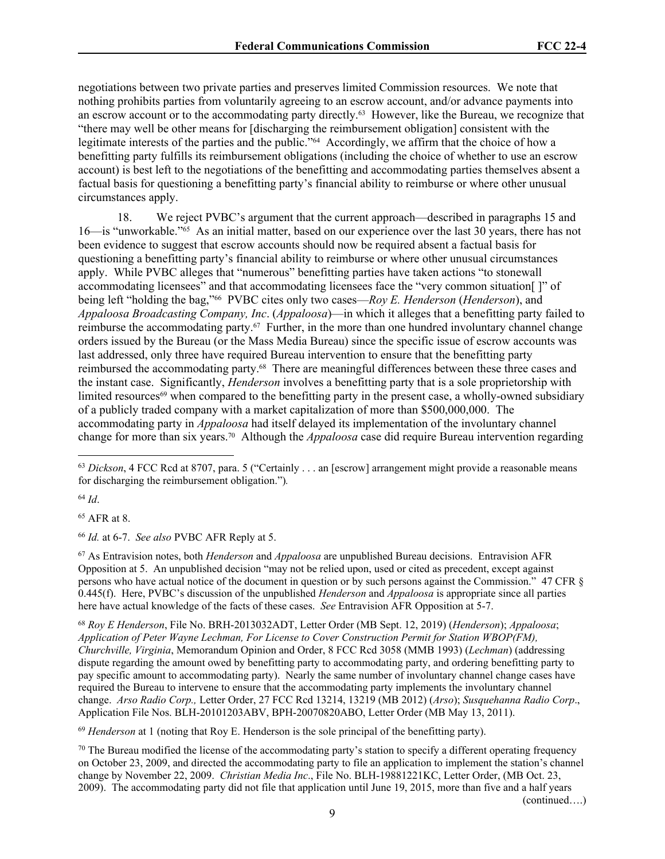negotiations between two private parties and preserves limited Commission resources. We note that nothing prohibits parties from voluntarily agreeing to an escrow account, and/or advance payments into an escrow account or to the accommodating party directly.63 However, like the Bureau, we recognize that "there may well be other means for [discharging the reimbursement obligation] consistent with the legitimate interests of the parties and the public."64 Accordingly, we affirm that the choice of how a benefitting party fulfills its reimbursement obligations (including the choice of whether to use an escrow account) is best left to the negotiations of the benefitting and accommodating parties themselves absent a factual basis for questioning a benefitting party's financial ability to reimburse or where other unusual circumstances apply.

18. We reject PVBC's argument that the current approach—described in paragraphs 15 and 16—is "unworkable."65 As an initial matter, based on our experience over the last 30 years, there has not been evidence to suggest that escrow accounts should now be required absent a factual basis for questioning a benefitting party's financial ability to reimburse or where other unusual circumstances apply. While PVBC alleges that "numerous" benefitting parties have taken actions "to stonewall accommodating licensees" and that accommodating licensees face the "very common situation[ ]" of being left "holding the bag,"66 PVBC cites only two cases—*Roy E. Henderson* (*Henderson*), and *Appaloosa Broadcasting Company, Inc*. (*Appaloosa*)—in which it alleges that a benefitting party failed to reimburse the accommodating party.<sup>67</sup> Further, in the more than one hundred involuntary channel change orders issued by the Bureau (or the Mass Media Bureau) since the specific issue of escrow accounts was last addressed, only three have required Bureau intervention to ensure that the benefitting party reimbursed the accommodating party.68 There are meaningful differences between these three cases and the instant case. Significantly, *Henderson* involves a benefitting party that is a sole proprietorship with limited resources<sup>69</sup> when compared to the benefitting party in the present case, a wholly-owned subsidiary of a publicly traded company with a market capitalization of more than \$500,000,000. The accommodating party in *Appaloosa* had itself delayed its implementation of the involuntary channel change for more than six years.70 Although the *Appaloosa* case did require Bureau intervention regarding

<sup>64</sup> *Id*.

<sup>65</sup> AFR at 8.

<sup>66</sup> *Id.* at 6-7. *See also* PVBC AFR Reply at 5.

<sup>67</sup> As Entravision notes, both *Henderson* and *Appaloosa* are unpublished Bureau decisions. Entravision AFR Opposition at 5. An unpublished decision "may not be relied upon, used or cited as precedent, except against persons who have actual notice of the document in question or by such persons against the Commission." 47 CFR § 0.445(f). Here, PVBC's discussion of the unpublished *Henderson* and *Appaloosa* is appropriate since all parties here have actual knowledge of the facts of these cases. *See* Entravision AFR Opposition at 5-7.

<sup>68</sup> *Roy E Henderson*, File No. BRH-2013032ADT, Letter Order (MB Sept. 12, 2019) (*Henderson*); *Appaloosa*; *Application of Peter Wayne Lechman, For License to Cover Construction Permit for Station WBOP(FM), Churchville, Virginia*, Memorandum Opinion and Order, 8 FCC Rcd 3058 (MMB 1993) (*Lechman*) (addressing dispute regarding the amount owed by benefitting party to accommodating party, and ordering benefitting party to pay specific amount to accommodating party). Nearly the same number of involuntary channel change cases have required the Bureau to intervene to ensure that the accommodating party implements the involuntary channel change. *Arso Radio Corp.,* Letter Order, 27 FCC Rcd 13214, 13219 (MB 2012) (*Arso*); *Susquehanna Radio Corp*., Application File Nos. BLH-20101203ABV, BPH-20070820ABO, Letter Order (MB May 13, 2011).

<sup>69</sup> *Henderson* at 1 (noting that Roy E. Henderson is the sole principal of the benefitting party).

 $70$  The Bureau modified the license of the accommodating party's station to specify a different operating frequency on October 23, 2009, and directed the accommodating party to file an application to implement the station's channel change by November 22, 2009. *Christian Media Inc*., File No. BLH-19881221KC, Letter Order, (MB Oct. 23, 2009). The accommodating party did not file that application until June 19, 2015, more than five and a half years (continued….)

<sup>63</sup> *Dickson*, 4 FCC Rcd at 8707, para. 5 ("Certainly . . . an [escrow] arrangement might provide a reasonable means for discharging the reimbursement obligation.")*.*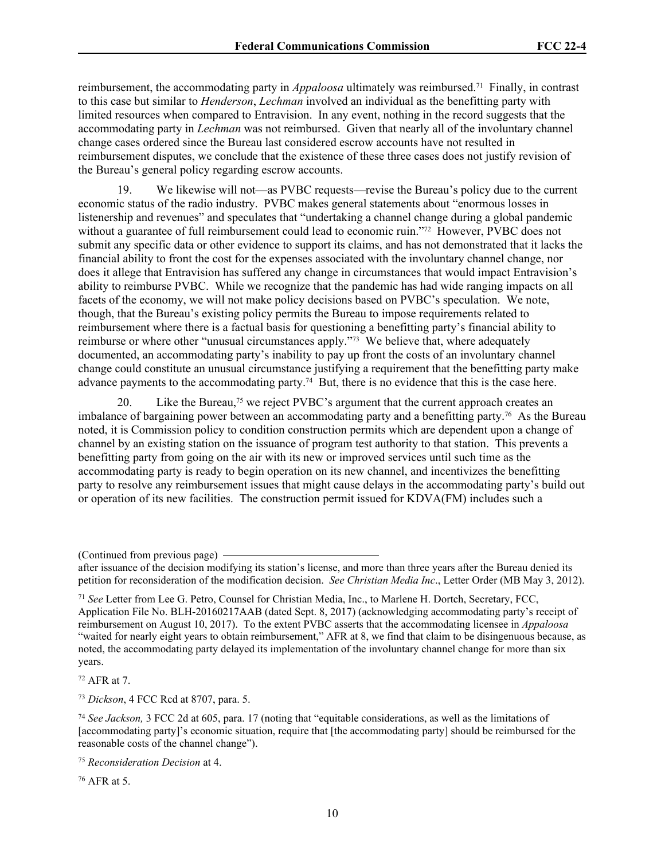reimbursement, the accommodating party in *Appaloosa* ultimately was reimbursed.71 Finally, in contrast to this case but similar to *Henderson*, *Lechman* involved an individual as the benefitting party with limited resources when compared to Entravision. In any event, nothing in the record suggests that the accommodating party in *Lechman* was not reimbursed. Given that nearly all of the involuntary channel change cases ordered since the Bureau last considered escrow accounts have not resulted in reimbursement disputes, we conclude that the existence of these three cases does not justify revision of the Bureau's general policy regarding escrow accounts.

19. We likewise will not—as PVBC requests—revise the Bureau's policy due to the current economic status of the radio industry. PVBC makes general statements about "enormous losses in listenership and revenues" and speculates that "undertaking a channel change during a global pandemic without a guarantee of full reimbursement could lead to economic ruin."<sup>72</sup> However, PVBC does not submit any specific data or other evidence to support its claims, and has not demonstrated that it lacks the financial ability to front the cost for the expenses associated with the involuntary channel change, nor does it allege that Entravision has suffered any change in circumstances that would impact Entravision's ability to reimburse PVBC. While we recognize that the pandemic has had wide ranging impacts on all facets of the economy, we will not make policy decisions based on PVBC's speculation. We note, though, that the Bureau's existing policy permits the Bureau to impose requirements related to reimbursement where there is a factual basis for questioning a benefitting party's financial ability to reimburse or where other "unusual circumstances apply."73 We believe that, where adequately documented, an accommodating party's inability to pay up front the costs of an involuntary channel change could constitute an unusual circumstance justifying a requirement that the benefitting party make advance payments to the accommodating party.<sup>74</sup> But, there is no evidence that this is the case here.

20. Like the Bureau,<sup>75</sup> we reject PVBC's argument that the current approach creates an imbalance of bargaining power between an accommodating party and a benefitting party.<sup>76</sup> As the Bureau noted, it is Commission policy to condition construction permits which are dependent upon a change of channel by an existing station on the issuance of program test authority to that station. This prevents a benefitting party from going on the air with its new or improved services until such time as the accommodating party is ready to begin operation on its new channel, and incentivizes the benefitting party to resolve any reimbursement issues that might cause delays in the accommodating party's build out or operation of its new facilities. The construction permit issued for KDVA(FM) includes such a

<sup>72</sup> AFR at 7.

<sup>73</sup> *Dickson*, 4 FCC Rcd at 8707, para. 5.

76 AFR at 5.

<sup>(</sup>Continued from previous page)

after issuance of the decision modifying its station's license, and more than three years after the Bureau denied its petition for reconsideration of the modification decision. *See Christian Media Inc*., Letter Order (MB May 3, 2012).

<sup>71</sup> *See* Letter from Lee G. Petro, Counsel for Christian Media, Inc., to Marlene H. Dortch, Secretary, FCC, Application File No. BLH-20160217AAB (dated Sept. 8, 2017) (acknowledging accommodating party's receipt of reimbursement on August 10, 2017). To the extent PVBC asserts that the accommodating licensee in *Appaloosa* "waited for nearly eight years to obtain reimbursement," AFR at 8, we find that claim to be disingenuous because, as noted, the accommodating party delayed its implementation of the involuntary channel change for more than six years.

<sup>74</sup> *See Jackson,* 3 FCC 2d at 605, para. 17 (noting that "equitable considerations, as well as the limitations of [accommodating party]'s economic situation, require that [the accommodating party] should be reimbursed for the reasonable costs of the channel change").

<sup>75</sup> *Reconsideration Decision* at 4.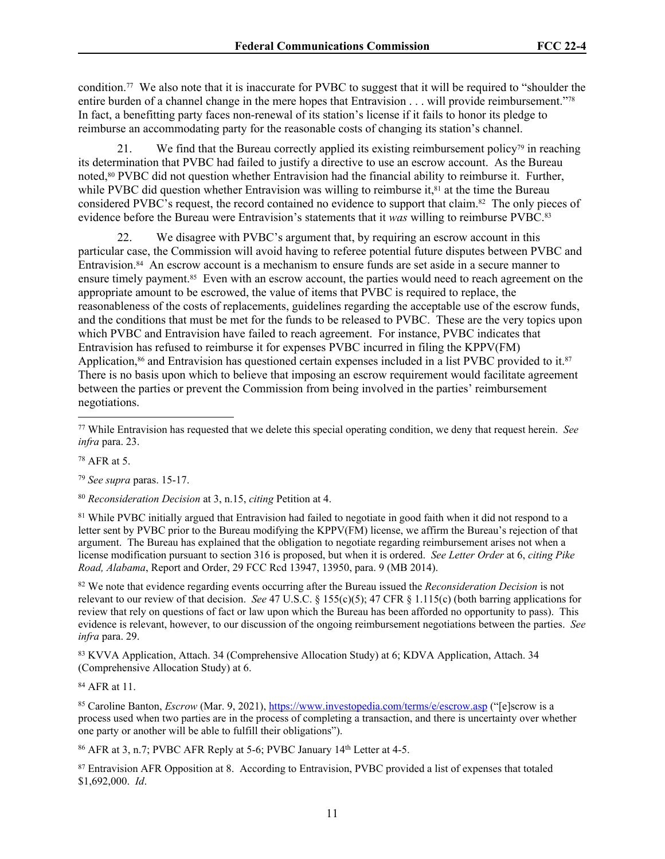condition.77 We also note that it is inaccurate for PVBC to suggest that it will be required to "shoulder the entire burden of a channel change in the mere hopes that Entravision . . . will provide reimbursement."78 In fact, a benefitting party faces non-renewal of its station's license if it fails to honor its pledge to reimburse an accommodating party for the reasonable costs of changing its station's channel.

21. We find that the Bureau correctly applied its existing reimbursement policy<sup>79</sup> in reaching its determination that PVBC had failed to justify a directive to use an escrow account. As the Bureau noted,80 PVBC did not question whether Entravision had the financial ability to reimburse it. Further, while PVBC did question whether Entravision was willing to reimburse it,<sup>81</sup> at the time the Bureau considered PVBC's request, the record contained no evidence to support that claim.82 The only pieces of evidence before the Bureau were Entravision's statements that it *was* willing to reimburse PVBC.<sup>83</sup>

22. We disagree with PVBC's argument that, by requiring an escrow account in this particular case, the Commission will avoid having to referee potential future disputes between PVBC and Entravision.84 An escrow account is a mechanism to ensure funds are set aside in a secure manner to ensure timely payment.<sup>85</sup> Even with an escrow account, the parties would need to reach agreement on the appropriate amount to be escrowed, the value of items that PVBC is required to replace, the reasonableness of the costs of replacements, guidelines regarding the acceptable use of the escrow funds, and the conditions that must be met for the funds to be released to PVBC. These are the very topics upon which PVBC and Entravision have failed to reach agreement. For instance, PVBC indicates that Entravision has refused to reimburse it for expenses PVBC incurred in filing the KPPV(FM) Application,<sup>86</sup> and Entravision has questioned certain expenses included in a list PVBC provided to it.<sup>87</sup> There is no basis upon which to believe that imposing an escrow requirement would facilitate agreement between the parties or prevent the Commission from being involved in the parties' reimbursement negotiations.

<sup>78</sup> AFR at 5.

<sup>79</sup> *See supra* paras. 15-17.

<sup>80</sup> *Reconsideration Decision* at 3, n.15, *citing* Petition at 4.

<sup>81</sup> While PVBC initially argued that Entravision had failed to negotiate in good faith when it did not respond to a letter sent by PVBC prior to the Bureau modifying the KPPV(FM) license, we affirm the Bureau's rejection of that argument. The Bureau has explained that the obligation to negotiate regarding reimbursement arises not when a license modification pursuant to section 316 is proposed, but when it is ordered. *See Letter Order* at 6, *citing Pike Road, Alabama*, Report and Order, 29 FCC Rcd 13947, 13950, para. 9 (MB 2014).

<sup>82</sup> We note that evidence regarding events occurring after the Bureau issued the *Reconsideration Decision* is not relevant to our review of that decision. *See* 47 U.S.C. § 155(c)(5); 47 CFR § 1.115(c) (both barring applications for review that rely on questions of fact or law upon which the Bureau has been afforded no opportunity to pass). This evidence is relevant, however, to our discussion of the ongoing reimbursement negotiations between the parties. *See infra* para. 29.

<sup>83</sup> KVVA Application, Attach. 34 (Comprehensive Allocation Study) at 6; KDVA Application, Attach. 34 (Comprehensive Allocation Study) at 6.

<sup>84</sup> AFR at 11.

<sup>85</sup> Caroline Banton, *Escrow* (Mar. 9, 2021), <https://www.investopedia.com/terms/e/escrow.asp>("[e]scrow is a process used when two parties are in the process of completing a transaction, and there is uncertainty over whether one party or another will be able to fulfill their obligations").

<sup>86</sup> AFR at 3, n.7; PVBC AFR Reply at 5-6; PVBC January 14th Letter at 4-5.

87 Entravision AFR Opposition at 8. According to Entravision, PVBC provided a list of expenses that totaled \$1,692,000. *Id*.

<sup>77</sup> While Entravision has requested that we delete this special operating condition, we deny that request herein. *See infra* para. 23.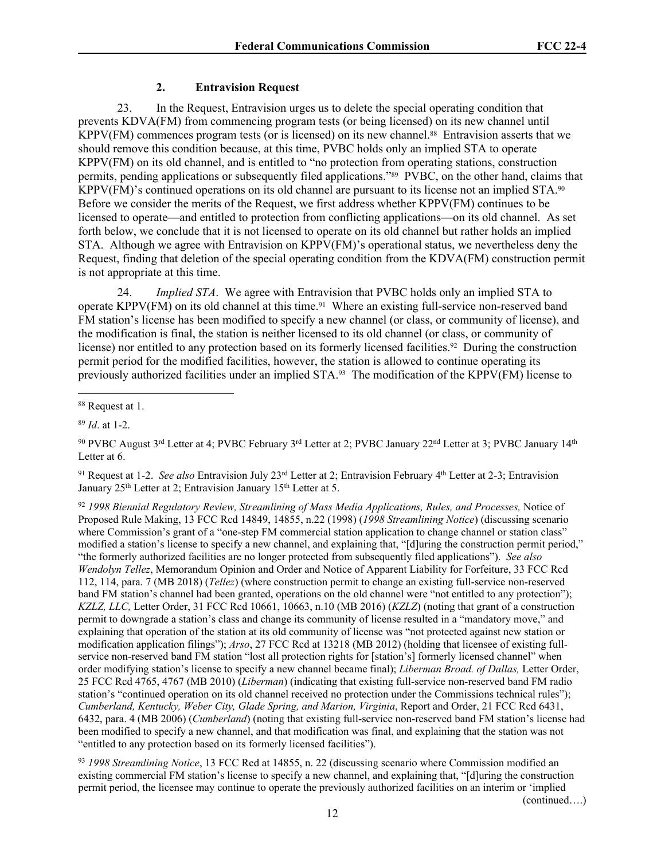## **2. Entravision Request**

23. In the Request, Entravision urges us to delete the special operating condition that prevents KDVA(FM) from commencing program tests (or being licensed) on its new channel until KPPV(FM) commences program tests (or is licensed) on its new channel.<sup>88</sup> Entravision asserts that we should remove this condition because, at this time, PVBC holds only an implied STA to operate KPPV(FM) on its old channel, and is entitled to "no protection from operating stations, construction permits, pending applications or subsequently filed applications."89 PVBC, on the other hand, claims that KPPV(FM)'s continued operations on its old channel are pursuant to its license not an implied STA.<sup>90</sup> Before we consider the merits of the Request, we first address whether KPPV(FM) continues to be licensed to operate—and entitled to protection from conflicting applications—on its old channel. As set forth below, we conclude that it is not licensed to operate on its old channel but rather holds an implied STA. Although we agree with Entravision on KPPV(FM)'s operational status, we nevertheless deny the Request, finding that deletion of the special operating condition from the KDVA(FM) construction permit is not appropriate at this time.

24. *Implied STA*. We agree with Entravision that PVBC holds only an implied STA to operate KPPV(FM) on its old channel at this time.<sup>91</sup> Where an existing full-service non-reserved band FM station's license has been modified to specify a new channel (or class, or community of license), and the modification is final, the station is neither licensed to its old channel (or class, or community of license) nor entitled to any protection based on its formerly licensed facilities.92 During the construction permit period for the modified facilities, however, the station is allowed to continue operating its previously authorized facilities under an implied STA.93 The modification of the KPPV(FM) license to

<sup>91</sup> Request at 1-2. *See also* Entravision July 23rd Letter at 2; Entravision February 4th Letter at 2-3; Entravision January 25<sup>th</sup> Letter at 2; Entravision January 15<sup>th</sup> Letter at 5.

<sup>92</sup> *1998 Biennial Regulatory Review, Streamlining of Mass Media Applications, Rules, and Processes,* Notice of Proposed Rule Making, 13 FCC Rcd 14849, 14855, n.22 (1998) (*1998 Streamlining Notice*) (discussing scenario where Commission's grant of a "one-step FM commercial station application to change channel or station class" modified a station's license to specify a new channel, and explaining that, "[d]uring the construction permit period," "the formerly authorized facilities are no longer protected from subsequently filed applications"). *See also Wendolyn Tellez*, Memorandum Opinion and Order and Notice of Apparent Liability for Forfeiture, 33 FCC Rcd 112, 114, para. 7 (MB 2018) (*Tellez*) (where construction permit to change an existing full-service non-reserved band FM station's channel had been granted, operations on the old channel were "not entitled to any protection"); *KZLZ, LLC,* Letter Order, 31 FCC Rcd 10661, 10663, n.10 (MB 2016) (*KZLZ*) (noting that grant of a construction permit to downgrade a station's class and change its community of license resulted in a "mandatory move," and explaining that operation of the station at its old community of license was "not protected against new station or modification application filings"); *Arso*, 27 FCC Rcd at 13218 (MB 2012) (holding that licensee of existing fullservice non-reserved band FM station "lost all protection rights for [station's] formerly licensed channel" when order modifying station's license to specify a new channel became final); *Liberman Broad. of Dallas,* Letter Order, 25 FCC Rcd 4765, 4767 (MB 2010) (*Liberman*) (indicating that existing full-service non-reserved band FM radio station's "continued operation on its old channel received no protection under the Commissions technical rules"); *Cumberland, Kentucky, Weber City, Glade Spring, and Marion, Virginia*, Report and Order, 21 FCC Rcd 6431, 6432, para. 4 (MB 2006) (*Cumberland*) (noting that existing full-service non-reserved band FM station's license had been modified to specify a new channel, and that modification was final, and explaining that the station was not "entitled to any protection based on its formerly licensed facilities").

<sup>93</sup> *1998 Streamlining Notice*, 13 FCC Rcd at 14855, n. 22 (discussing scenario where Commission modified an existing commercial FM station's license to specify a new channel, and explaining that, "[d]uring the construction permit period, the licensee may continue to operate the previously authorized facilities on an interim or 'implied

(continued….)

<sup>88</sup> Request at 1.

<sup>89</sup> *Id*. at 1-2.

<sup>&</sup>lt;sup>90</sup> PVBC August 3<sup>rd</sup> Letter at 4; PVBC February 3<sup>rd</sup> Letter at 2; PVBC January 22<sup>nd</sup> Letter at 3; PVBC January 14<sup>th</sup> Letter at 6.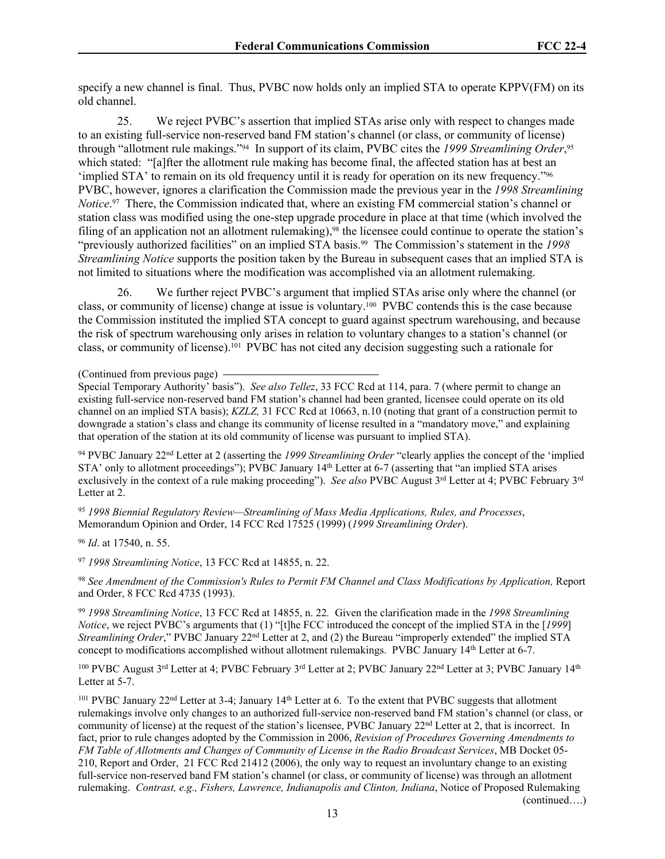specify a new channel is final. Thus, PVBC now holds only an implied STA to operate KPPV(FM) on its old channel.

25. We reject PVBC's assertion that implied STAs arise only with respect to changes made to an existing full-service non-reserved band FM station's channel (or class, or community of license) through "allotment rule makings."94 In support of its claim, PVBC cites the *1999 Streamlining Order*, 95 which stated: "[a]fter the allotment rule making has become final, the affected station has at best an 'implied STA' to remain on its old frequency until it is ready for operation on its new frequency."<sup>96</sup> PVBC, however, ignores a clarification the Commission made the previous year in the *1998 Streamlining Notice*. <sup>97</sup> There, the Commission indicated that, where an existing FM commercial station's channel or station class was modified using the one-step upgrade procedure in place at that time (which involved the filing of an application not an allotment rulemaking),<sup>98</sup> the licensee could continue to operate the station's "previously authorized facilities" on an implied STA basis.99 The Commission's statement in the *1998 Streamlining Notice* supports the position taken by the Bureau in subsequent cases that an implied STA is not limited to situations where the modification was accomplished via an allotment rulemaking.

26. We further reject PVBC's argument that implied STAs arise only where the channel (or class, or community of license) change at issue is voluntary.100 PVBC contends this is the case because the Commission instituted the implied STA concept to guard against spectrum warehousing, and because the risk of spectrum warehousing only arises in relation to voluntary changes to a station's channel (or class, or community of license).<sup>101</sup> PVBC has not cited any decision suggesting such a rationale for

<sup>94</sup> PVBC January 22nd Letter at 2 (asserting the *1999 Streamlining Order* "clearly applies the concept of the 'implied STA' only to allotment proceedings"); PVBC January 14<sup>th</sup> Letter at 6-7 (asserting that "an implied STA arises exclusively in the context of a rule making proceeding"). *See also* PVBC August 3rd Letter at 4; PVBC February 3rd Letter at 2.

<sup>95</sup> *1998 Biennial Regulatory Review—Streamlining of Mass Media Applications, Rules, and Processes*, Memorandum Opinion and Order, 14 FCC Rcd 17525 (1999) (*1999 Streamlining Order*).

<sup>96</sup> *Id*. at 17540, n. 55.

<sup>97</sup> *1998 Streamlining Notice*, 13 FCC Rcd at 14855, n. 22.

<sup>98</sup> *See Amendment of the Commission's Rules to Permit FM Channel and Class Modifications by Application,* Report and Order, 8 FCC Rcd 4735 (1993).

<sup>99</sup> *1998 Streamlining Notice*, 13 FCC Rcd at 14855, n. 22*.* Given the clarification made in the *1998 Streamlining Notice*, we reject PVBC's arguments that (1) "[t]he FCC introduced the concept of the implied STA in the [*1999*] *Streamlining Order*," PVBC January 22<sup>nd</sup> Letter at 2, and (2) the Bureau "improperly extended" the implied STA concept to modifications accomplished without allotment rulemakings. PVBC January 14<sup>th</sup> Letter at 6-7.

<sup>100</sup> PVBC August  $3^{rd}$  Letter at 4; PVBC February  $3^{rd}$  Letter at 2; PVBC January 22<sup>nd</sup> Letter at 3; PVBC January 14<sup>th</sup> Letter at 5-7.

<sup>101</sup> PVBC January 22nd Letter at 3-4; January 14th Letter at 6. To the extent that PVBC suggests that allotment rulemakings involve only changes to an authorized full-service non-reserved band FM station's channel (or class, or community of license) at the request of the station's licensee, PVBC January 22<sup>nd</sup> Letter at 2, that is incorrect. In fact, prior to rule changes adopted by the Commission in 2006, *Revision of Procedures Governing Amendments to FM Table of Allotments and Changes of Community of License in the Radio Broadcast Services*, MB Docket 05- 210, Report and Order, 21 FCC Rcd 21412 (2006), the only way to request an involuntary change to an existing full-service non-reserved band FM station's channel (or class, or community of license) was through an allotment rulemaking. *Contrast, e.g., Fishers, Lawrence, Indianapolis and Clinton, Indiana*, Notice of Proposed Rulemaking (continued….)

13

<sup>(</sup>Continued from previous page)

Special Temporary Authority' basis"). *See also Tellez*, 33 FCC Rcd at 114, para. 7 (where permit to change an existing full-service non-reserved band FM station's channel had been granted, licensee could operate on its old channel on an implied STA basis); *KZLZ,* 31 FCC Rcd at 10663, n.10 (noting that grant of a construction permit to downgrade a station's class and change its community of license resulted in a "mandatory move," and explaining that operation of the station at its old community of license was pursuant to implied STA).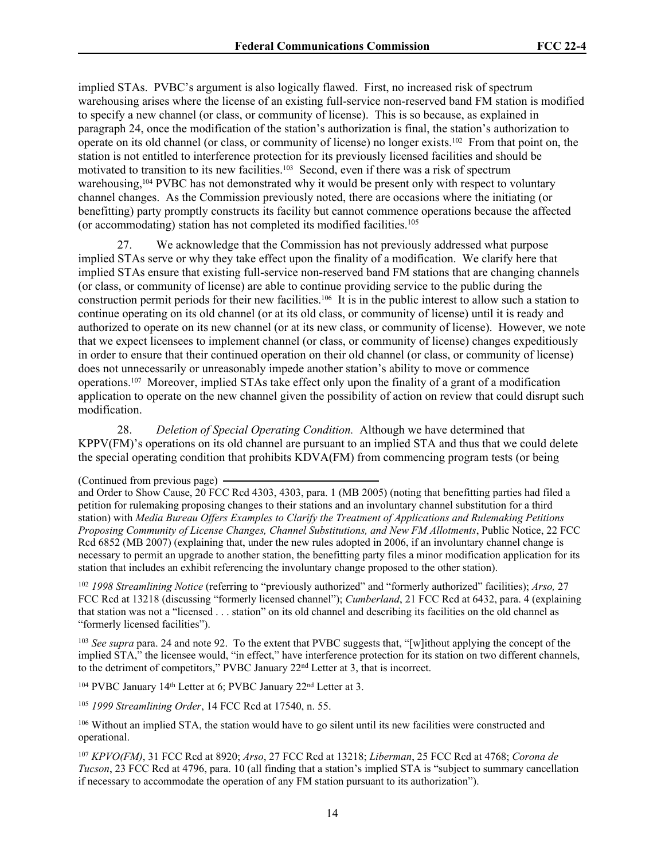implied STAs. PVBC's argument is also logically flawed. First, no increased risk of spectrum warehousing arises where the license of an existing full-service non-reserved band FM station is modified to specify a new channel (or class, or community of license). This is so because, as explained in paragraph 24, once the modification of the station's authorization is final, the station's authorization to operate on its old channel (or class, or community of license) no longer exists.102 From that point on, the station is not entitled to interference protection for its previously licensed facilities and should be motivated to transition to its new facilities.<sup>103</sup> Second, even if there was a risk of spectrum warehousing,<sup>104</sup> PVBC has not demonstrated why it would be present only with respect to voluntary channel changes. As the Commission previously noted, there are occasions where the initiating (or benefitting) party promptly constructs its facility but cannot commence operations because the affected (or accommodating) station has not completed its modified facilities.<sup>105</sup>

27. We acknowledge that the Commission has not previously addressed what purpose implied STAs serve or why they take effect upon the finality of a modification. We clarify here that implied STAs ensure that existing full-service non-reserved band FM stations that are changing channels (or class, or community of license) are able to continue providing service to the public during the construction permit periods for their new facilities.106 It is in the public interest to allow such a station to continue operating on its old channel (or at its old class, or community of license) until it is ready and authorized to operate on its new channel (or at its new class, or community of license). However, we note that we expect licensees to implement channel (or class, or community of license) changes expeditiously in order to ensure that their continued operation on their old channel (or class, or community of license) does not unnecessarily or unreasonably impede another station's ability to move or commence operations.107 Moreover, implied STAs take effect only upon the finality of a grant of a modification application to operate on the new channel given the possibility of action on review that could disrupt such modification.

28. *Deletion of Special Operating Condition.* Although we have determined that KPPV(FM)'s operations on its old channel are pursuant to an implied STA and thus that we could delete the special operating condition that prohibits KDVA(FM) from commencing program tests (or being

<sup>102</sup> *1998 Streamlining Notice* (referring to "previously authorized" and "formerly authorized" facilities); *Arso,* 27 FCC Rcd at 13218 (discussing "formerly licensed channel"); *Cumberland*, 21 FCC Rcd at 6432, para. 4 (explaining that station was not a "licensed . . . station" on its old channel and describing its facilities on the old channel as "formerly licensed facilities").

<sup>103</sup> *See supra* para. 24 and note 92. To the extent that PVBC suggests that, "[w]ithout applying the concept of the implied STA," the licensee would, "in effect," have interference protection for its station on two different channels, to the detriment of competitors," PVBC January 22nd Letter at 3, that is incorrect.

<sup>104</sup> PVBC January 14th Letter at 6; PVBC January 22nd Letter at 3.

<sup>105</sup> *1999 Streamlining Order*, 14 FCC Rcd at 17540, n. 55.

<sup>106</sup> Without an implied STA, the station would have to go silent until its new facilities were constructed and operational.

<sup>107</sup> *KPVO(FM)*, 31 FCC Rcd at 8920; *Arso*, 27 FCC Rcd at 13218; *Liberman*, 25 FCC Rcd at 4768; *Corona de Tucson*, 23 FCC Rcd at 4796, para. 10 (all finding that a station's implied STA is "subject to summary cancellation if necessary to accommodate the operation of any FM station pursuant to its authorization").

<sup>(</sup>Continued from previous page)

and Order to Show Cause, 20 FCC Rcd 4303, 4303, para. 1 (MB 2005) (noting that benefitting parties had filed a petition for rulemaking proposing changes to their stations and an involuntary channel substitution for a third station) with *Media Bureau Offers Examples to Clarify the Treatment of Applications and Rulemaking Petitions Proposing Community of License Changes, Channel Substitutions, and New FM Allotments*, Public Notice, 22 FCC Rcd 6852 (MB 2007) (explaining that, under the new rules adopted in 2006, if an involuntary channel change is necessary to permit an upgrade to another station, the benefitting party files a minor modification application for its station that includes an exhibit referencing the involuntary change proposed to the other station).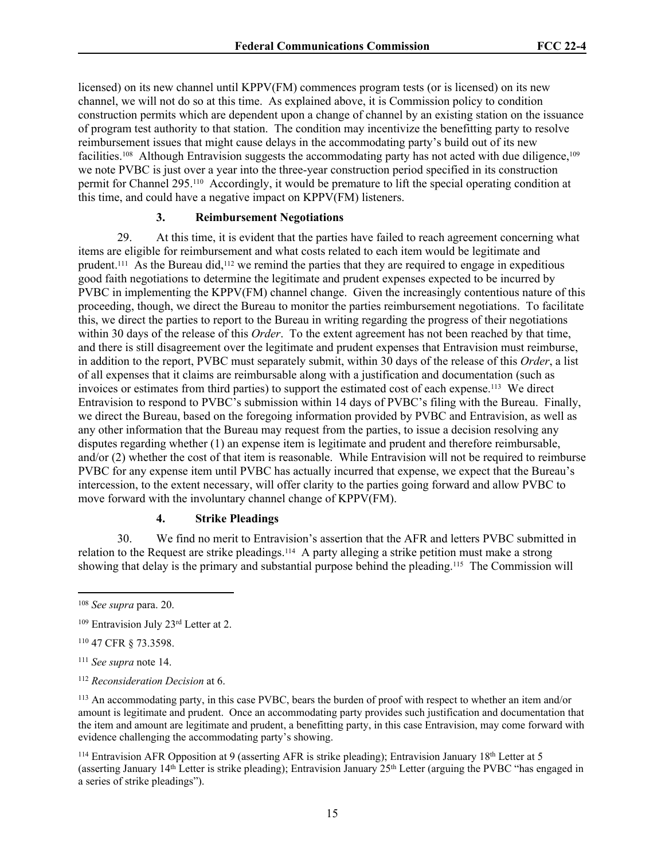licensed) on its new channel until KPPV(FM) commences program tests (or is licensed) on its new channel, we will not do so at this time. As explained above, it is Commission policy to condition construction permits which are dependent upon a change of channel by an existing station on the issuance of program test authority to that station. The condition may incentivize the benefitting party to resolve reimbursement issues that might cause delays in the accommodating party's build out of its new facilities.<sup>108</sup> Although Entravision suggests the accommodating party has not acted with due diligence,<sup>109</sup> we note PVBC is just over a year into the three-year construction period specified in its construction permit for Channel 295.110 Accordingly, it would be premature to lift the special operating condition at this time, and could have a negative impact on KPPV(FM) listeners.

# **3. Reimbursement Negotiations**

29. At this time, it is evident that the parties have failed to reach agreement concerning what items are eligible for reimbursement and what costs related to each item would be legitimate and prudent.111 As the Bureau did,112 we remind the parties that they are required to engage in expeditious good faith negotiations to determine the legitimate and prudent expenses expected to be incurred by PVBC in implementing the KPPV(FM) channel change. Given the increasingly contentious nature of this proceeding, though, we direct the Bureau to monitor the parties reimbursement negotiations. To facilitate this, we direct the parties to report to the Bureau in writing regarding the progress of their negotiations within 30 days of the release of this *Order*. To the extent agreement has not been reached by that time, and there is still disagreement over the legitimate and prudent expenses that Entravision must reimburse, in addition to the report, PVBC must separately submit, within 30 days of the release of this *Order*, a list of all expenses that it claims are reimbursable along with a justification and documentation (such as invoices or estimates from third parties) to support the estimated cost of each expense.113 We direct Entravision to respond to PVBC's submission within 14 days of PVBC's filing with the Bureau. Finally, we direct the Bureau, based on the foregoing information provided by PVBC and Entravision, as well as any other information that the Bureau may request from the parties, to issue a decision resolving any disputes regarding whether (1) an expense item is legitimate and prudent and therefore reimbursable, and/or (2) whether the cost of that item is reasonable. While Entravision will not be required to reimburse PVBC for any expense item until PVBC has actually incurred that expense, we expect that the Bureau's intercession, to the extent necessary, will offer clarity to the parties going forward and allow PVBC to move forward with the involuntary channel change of KPPV(FM).

## **4. Strike Pleadings**

30. We find no merit to Entravision's assertion that the AFR and letters PVBC submitted in relation to the Request are strike pleadings.114 A party alleging a strike petition must make a strong showing that delay is the primary and substantial purpose behind the pleading.115 The Commission will

<sup>114</sup> Entravision AFR Opposition at 9 (asserting AFR is strike pleading); Entravision January 18<sup>th</sup> Letter at 5 (asserting January  $14<sup>th</sup>$  Letter is strike pleading); Entravision January  $25<sup>th</sup>$  Letter (arguing the PVBC "has engaged in a series of strike pleadings").

<sup>108</sup> *See supra* para. 20.

<sup>109</sup> Entravision July 23rd Letter at 2.

<sup>110</sup> 47 CFR § 73.3598.

<sup>111</sup> *See supra* note 14.

<sup>112</sup> *Reconsideration Decision* at 6.

<sup>113</sup> An accommodating party, in this case PVBC, bears the burden of proof with respect to whether an item and/or amount is legitimate and prudent. Once an accommodating party provides such justification and documentation that the item and amount are legitimate and prudent, a benefitting party, in this case Entravision, may come forward with evidence challenging the accommodating party's showing.